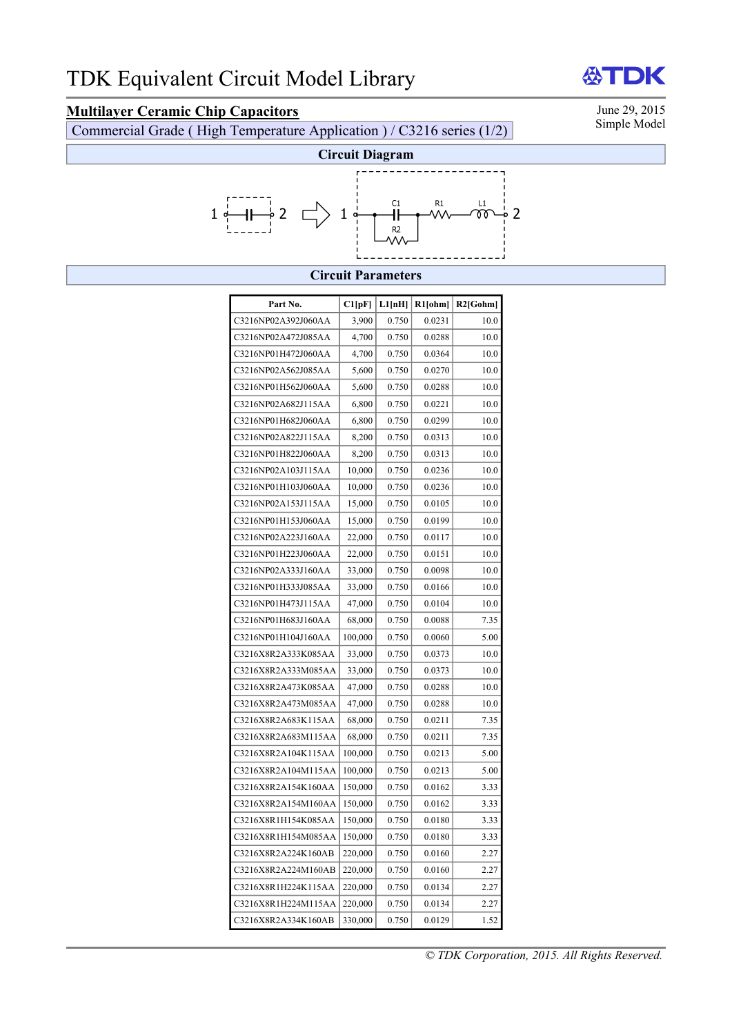## **Multilayer Ceramic Chip Capacitors** June 29, 2015<br>Commercial Grade (High Temperature Application) / C3216 series (1/2) Simple Model

Commercial Grade ( High Temperature Application ) / C3216 series  $(1/2)$ 

DK



## **Circuit Parameters**

| Part No.            | C1[pF]  | L1[nH] | $R1$ [ohm] | $R2$ [Gohm] |
|---------------------|---------|--------|------------|-------------|
| C3216NP02A392J060AA | 3,900   | 0.750  | 0.0231     | 10.0        |
| C3216NP02A472J085AA | 4,700   | 0.750  | 0.0288     | 10.0        |
| C3216NP01H472J060AA | 4,700   | 0.750  | 0.0364     | 10.0        |
| C3216NP02A562J085AA | 5,600   | 0.750  | 0.0270     | 10.0        |
| C3216NP01H562J060AA | 5,600   | 0.750  | 0.0288     | 10.0        |
| C3216NP02A682J115AA | 6,800   | 0.750  | 0.0221     | 10.0        |
| C3216NP01H682J060AA | 6,800   | 0.750  | 0.0299     | 10.0        |
| C3216NP02A822J115AA | 8,200   | 0.750  | 0.0313     | 10.0        |
| C3216NP01H822J060AA | 8,200   | 0.750  | 0.0313     | 10.0        |
| C3216NP02A103J115AA | 10,000  | 0.750  | 0.0236     | 10.0        |
| C3216NP01H103J060AA | 10,000  | 0.750  | 0.0236     | 10.0        |
| C3216NP02A153J115AA | 15,000  | 0.750  | 0.0105     | 10.0        |
| C3216NP01H153J060AA | 15,000  | 0.750  | 0.0199     | 10.0        |
| C3216NP02A223J160AA | 22,000  | 0.750  | 0.0117     | 10.0        |
| C3216NP01H223J060AA | 22,000  | 0.750  | 0.0151     | 10.0        |
| C3216NP02A333J160AA | 33,000  | 0.750  | 0.0098     | 10.0        |
| C3216NP01H333J085AA | 33,000  | 0.750  | 0.0166     | 10.0        |
| C3216NP01H473J115AA | 47,000  | 0.750  | 0.0104     | 10.0        |
| C3216NP01H683J160AA | 68,000  | 0.750  | 0.0088     | 7.35        |
| C3216NP01H104J160AA | 100,000 | 0.750  | 0.0060     | 5.00        |
| C3216X8R2A333K085AA | 33,000  | 0.750  | 0.0373     | 10.0        |
| C3216X8R2A333M085AA | 33,000  | 0.750  | 0.0373     | 10.0        |
| C3216X8R2A473K085AA | 47,000  | 0.750  | 0.0288     | 10.0        |
| C3216X8R2A473M085AA | 47,000  | 0.750  | 0.0288     | 10.0        |
| C3216X8R2A683K115AA | 68,000  | 0.750  | 0.0211     | 7.35        |
| C3216X8R2A683M115AA | 68,000  | 0.750  | 0.0211     | 7.35        |
| C3216X8R2A104K115AA | 100,000 | 0.750  | 0.0213     | 5.00        |
| C3216X8R2A104M115AA | 100,000 | 0.750  | 0.0213     | 5.00        |
| C3216X8R2A154K160AA | 150,000 | 0.750  | 0.0162     | 3.33        |
| C3216X8R2A154M160AA | 150,000 | 0.750  | 0.0162     | 3.33        |
| C3216X8R1H154K085AA | 150,000 | 0.750  | 0.0180     | 3.33        |
| C3216X8R1H154M085AA | 150,000 | 0.750  | 0.0180     | 3.33        |
| C3216X8R2A224K160AB | 220,000 | 0.750  | 0.0160     | 2.27        |
| C3216X8R2A224M160AB | 220,000 | 0.750  | 0.0160     | 2.27        |
| C3216X8R1H224K115AA | 220,000 | 0.750  | 0.0134     | 2.27        |
| C3216X8R1H224M115AA | 220,000 | 0.750  | 0.0134     | 2.27        |
| C3216X8R2A334K160AB | 330,000 | 0.750  | 0.0129     | 1.52        |

份